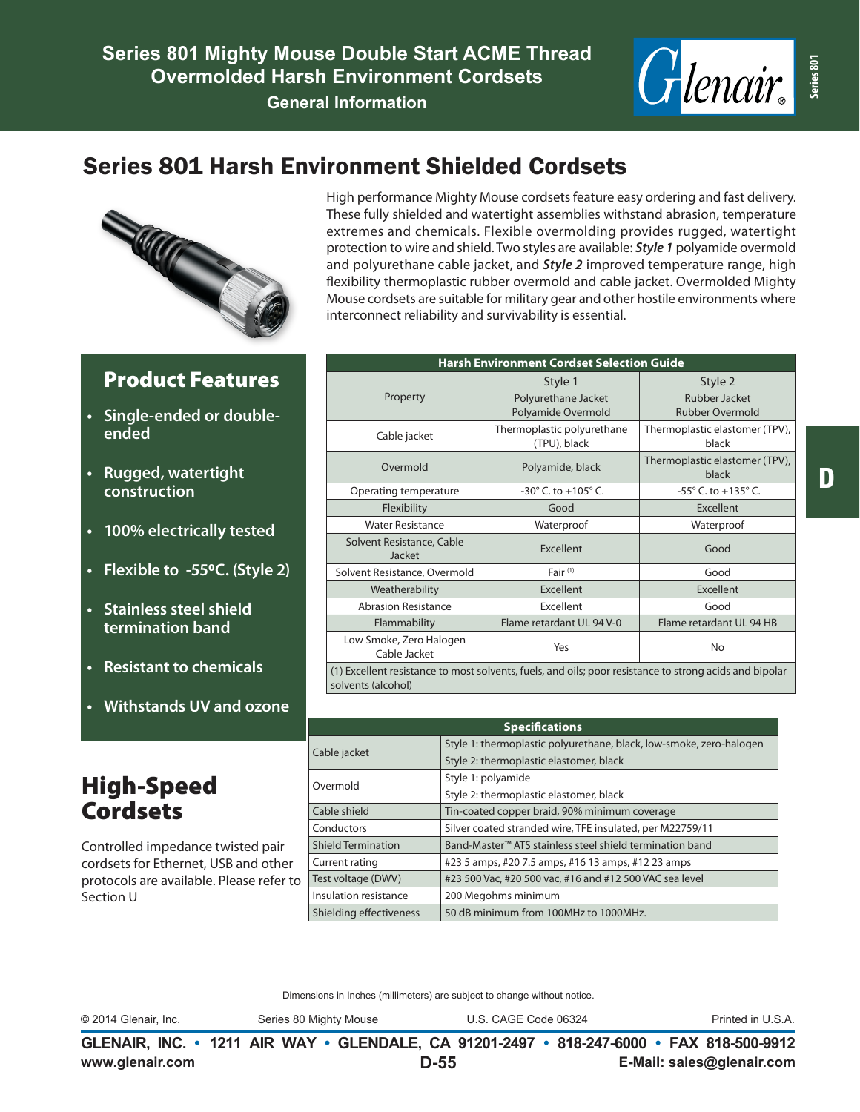

# Series 801 Harsh Environment Shielded Cordsets



Product Features

**• Single-ended or double-**

**• 100% electrically tested**

**• Stainless steel shield termination band**

**• Resistant to chemicals**

High-Speed **Cordsets** 

**• Withstands UV and ozone**

Controlled impedance twisted pair cordsets for Ethernet, USB and other protocols are available. Please refer to

**• Flexible to -550C. (Style 2)**

**• Rugged, watertight construction**

**ended**

#### High performance Mighty Mouse cordsets feature easy ordering and fast delivery. These fully shielded and watertight assemblies withstand abrasion, temperature extremes and chemicals. Flexible overmolding provides rugged, watertight protection to wire and shield. Two styles are available: *Style 1* polyamide overmold and polyurethane cable jacket, and *Style 2* improved temperature range, high flexibility thermoplastic rubber overmold and cable jacket. Overmolded Mighty Mouse cordsets are suitable for military gear and other hostile environments where interconnect reliability and survivability is essential.

#### **Harsh Environment Cordset Selection Guide** Property Style 1 Polyurethane Jacket Polyamide Overmold Style 2 Rubber Jacket Rubber Overmold Cable jacket Thermoplastic polyurethane (TPU), black Thermoplastic elastomer (TPV), black Overmold Polyamide, black Thermoplastic elastomer (TPV), black Operating temperature  $-30^{\circ}$  C. to +105° C.  $-55^{\circ}$  C. to +135° C. Flexibility and Good Excellent Water Resistance Waterproof Waterproof Solvent Resistance, Cable Jacket Excellent Good Solvent Resistance, Overmold Fair<sup>(1)</sup> Fair<sup>(1)</sup> Fair<sup>(1)</sup> Good Weatherability **Excellent** Excellent **Excellent** Abrasion Resistance **Excellent** Excellent **Good** Flammability Flame retardant UL 94 V-0 Flame retardant UL 94 HB Low Smoke, Zero Halogen No. 2010 Transport No. 2010 No. 2010 No. 2010 No. 2010 No. 2010 No. 2010 No. 2010 No. 2010 No. 2010 No. 2010 No (1) Excellent resistance to most solvents, fuels, and oils; poor resistance to strong acids and bipolar solvents (alcohol)

| <b>Specifications</b>     |                                                                      |  |  |  |  |  |  |
|---------------------------|----------------------------------------------------------------------|--|--|--|--|--|--|
| Cable jacket              | Style 1: thermoplastic polyurethane, black, low-smoke, zero-halogen  |  |  |  |  |  |  |
|                           | Style 2: thermoplastic elastomer, black                              |  |  |  |  |  |  |
| Overmold                  | Style 1: polyamide                                                   |  |  |  |  |  |  |
|                           | Style 2: thermoplastic elastomer, black                              |  |  |  |  |  |  |
| Cable shield              | Tin-coated copper braid, 90% minimum coverage                        |  |  |  |  |  |  |
| Conductors                | Silver coated stranded wire, TFE insulated, per M22759/11            |  |  |  |  |  |  |
| <b>Shield Termination</b> | Band-Master <sup>™</sup> ATS stainless steel shield termination band |  |  |  |  |  |  |
| Current rating            | #23 5 amps, #20 7.5 amps, #16 13 amps, #12 23 amps                   |  |  |  |  |  |  |
| Test voltage (DWV)        | #23 500 Vac, #20 500 vac, #16 and #12 500 VAC sea level              |  |  |  |  |  |  |
| Insulation resistance     | 200 Megohms minimum                                                  |  |  |  |  |  |  |
| Shielding effectiveness   | 50 dB minimum from 100MHz to 1000MHz.                                |  |  |  |  |  |  |

#### Dimensions in Inches (millimeters) are subject to change without notice.

Section U

© 2014 Glenair, Inc. Series 80 Mighty Mouse U.S. CAGE Code 06324 Printed in U.S.A.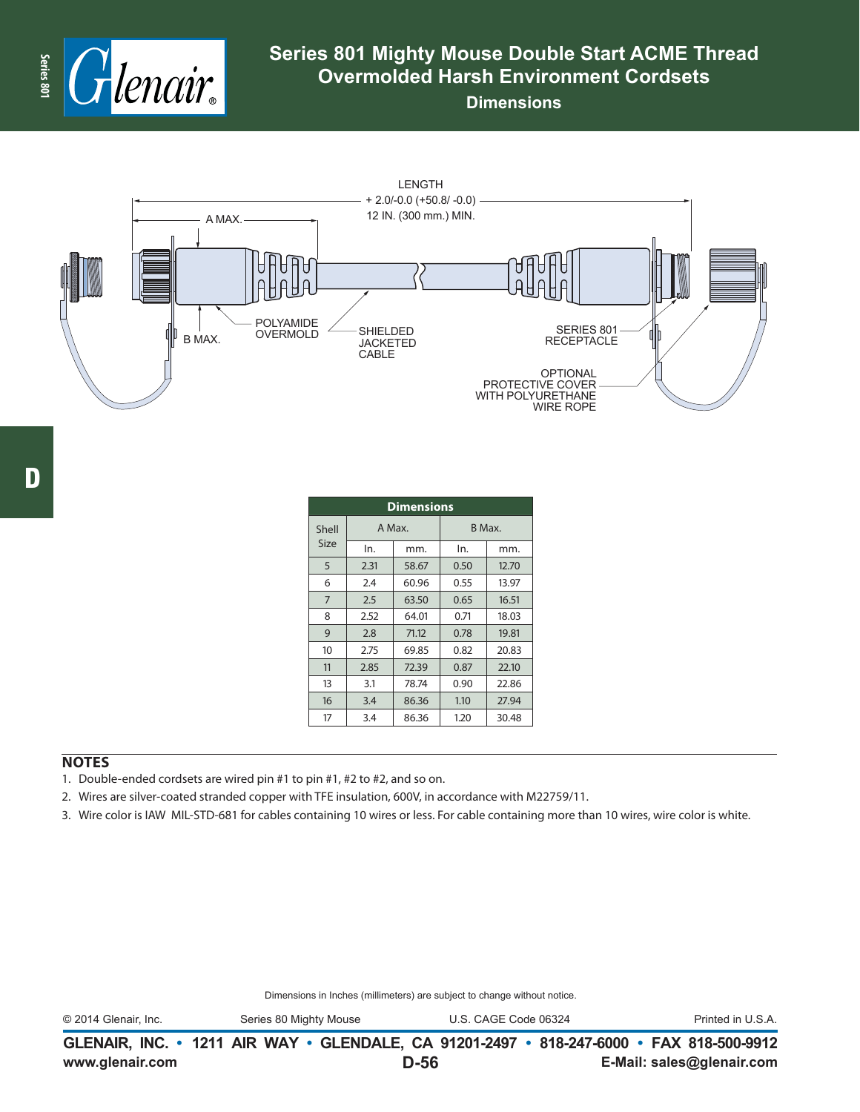

### **Series 801 Mighty Mouse Double Start ACME Thread Overmolded Harsh Environment Cordsets**

**Dimensions**



D

| <b>Dimensions</b> |               |        |        |       |  |  |  |  |
|-------------------|---------------|--------|--------|-------|--|--|--|--|
| Shell             |               | A Max. | B Max. |       |  |  |  |  |
| Size              | ln.           | mm.    | In.    | mm.   |  |  |  |  |
| 5                 | 2.31          | 58.67  | 0.50   | 12.70 |  |  |  |  |
| 6                 | 2.4           | 60.96  | 0.55   | 13.97 |  |  |  |  |
| $\overline{7}$    | 2.5           | 63.50  | 0.65   | 16.51 |  |  |  |  |
| 8                 | 2.52<br>64.01 |        | 0.71   | 18.03 |  |  |  |  |
| 9                 | 2.8<br>71.12  |        | 0.78   | 19.81 |  |  |  |  |
| 10                | 2.75<br>69.85 |        | 0.82   | 20.83 |  |  |  |  |
| 11                | 2.85          | 72.39  | 0.87   | 22.10 |  |  |  |  |
| 13                | 3.1           | 78.74  | 0.90   | 22.86 |  |  |  |  |
| 16                | 3.4           | 86.36  | 1.10   | 27.94 |  |  |  |  |
| 17                | 3.4           | 86.36  | 1.20   | 30.48 |  |  |  |  |

### **NOTES**

- 1. Double-ended cordsets are wired pin #1 to pin #1, #2 to #2, and so on.
- 2. Wires are silver-coated stranded copper with TFE insulation, 600V, in accordance with M22759/11.
- 3. Wire color is IAW MIL-STD-681 for cables containing 10 wires or less. For cable containing more than 10 wires, wire color is white.

Dimensions in Inches (millimeters) are subject to change without notice.

© 2014 Glenair, Inc. Series 80 Mighty Mouse U.S. CAGE Code 06324 Printed in U.S.A.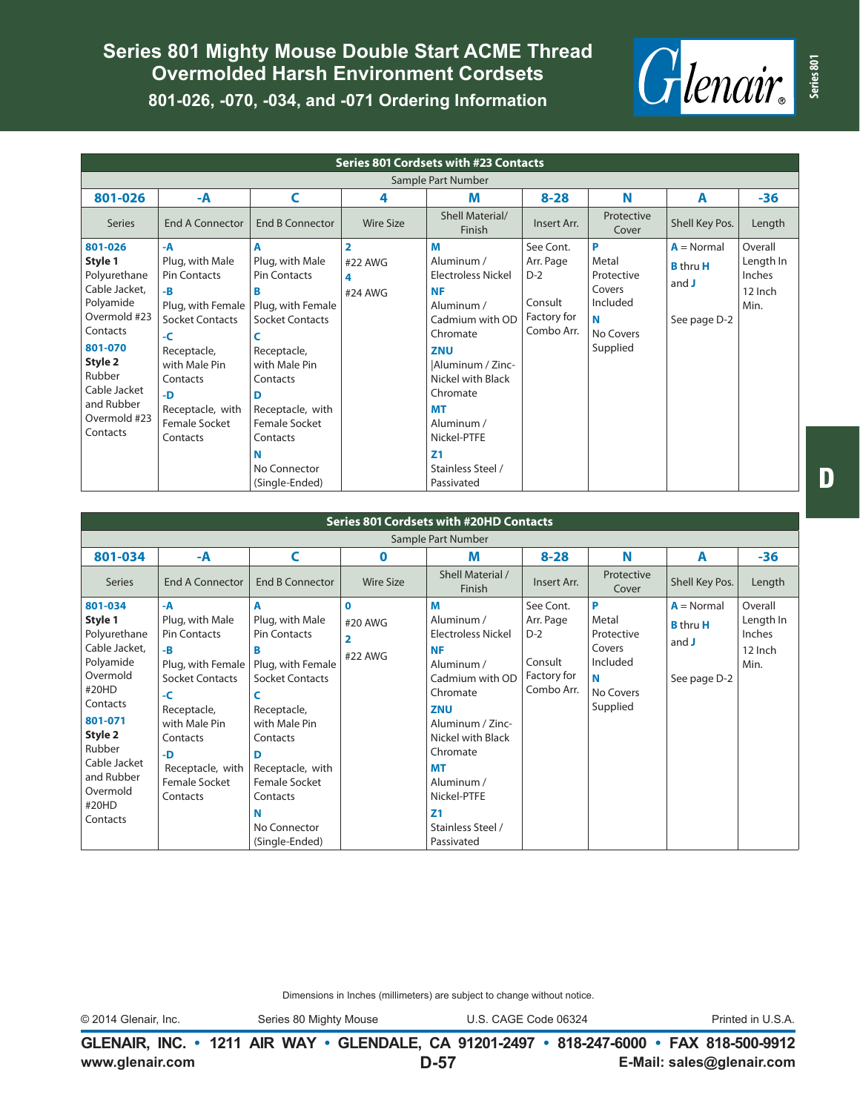# **Series 801 Mighty Mouse Double Start ACME Thread Overmolded Harsh Environment Cordsets 801-026, -070, -034, and -071 Ordering Information**



| <b>Series 801 Cordsets with #23 Contacts</b>                                                                                                                                           |                                                                                                                                                                                                            |                                                                                                                                                                                                                                                 |                                                    |                                                                                                                                                                                                                                                            |                                                                         |                                                                              |                                                          |                                                   |  |
|----------------------------------------------------------------------------------------------------------------------------------------------------------------------------------------|------------------------------------------------------------------------------------------------------------------------------------------------------------------------------------------------------------|-------------------------------------------------------------------------------------------------------------------------------------------------------------------------------------------------------------------------------------------------|----------------------------------------------------|------------------------------------------------------------------------------------------------------------------------------------------------------------------------------------------------------------------------------------------------------------|-------------------------------------------------------------------------|------------------------------------------------------------------------------|----------------------------------------------------------|---------------------------------------------------|--|
| Sample Part Number                                                                                                                                                                     |                                                                                                                                                                                                            |                                                                                                                                                                                                                                                 |                                                    |                                                                                                                                                                                                                                                            |                                                                         |                                                                              |                                                          |                                                   |  |
| 801-026                                                                                                                                                                                | -A                                                                                                                                                                                                         | C                                                                                                                                                                                                                                               | 4                                                  | М                                                                                                                                                                                                                                                          | $8 - 28$                                                                | N                                                                            | A                                                        | $-36$                                             |  |
| <b>Series</b>                                                                                                                                                                          | <b>End A Connector</b>                                                                                                                                                                                     | <b>End B Connector</b>                                                                                                                                                                                                                          | <b>Wire Size</b>                                   | Shell Material/<br>Finish                                                                                                                                                                                                                                  | Insert Arr.                                                             | Protective<br>Cover                                                          | Shell Key Pos.                                           | Length                                            |  |
| 801-026<br>Style 1<br>Polyurethane<br>Cable Jacket,<br>Polyamide<br>Overmold #23<br>Contacts<br>801-070<br>Style 2<br>Rubber<br>Cable Jacket<br>and Rubber<br>Overmold #23<br>Contacts | -A<br>Plug, with Male<br><b>Pin Contacts</b><br>-B<br>Plug, with Female<br><b>Socket Contacts</b><br>-C<br>Receptacle,<br>with Male Pin<br>Contacts<br>-D<br>Receptacle, with<br>Female Socket<br>Contacts | A<br>Plug, with Male<br><b>Pin Contacts</b><br>в<br>Plug, with Female<br><b>Socket Contacts</b><br>Receptacle,<br>with Male Pin<br>Contacts<br>D<br>Receptacle, with<br><b>Female Socket</b><br>Contacts<br>Ν<br>No Connector<br>(Single-Ended) | $\overline{\mathbf{2}}$<br>#22 AWG<br>4<br>#24 AWG | M<br>Aluminum /<br><b>Electroless Nickel</b><br><b>NF</b><br>Aluminum /<br>Cadmium with OD<br>Chromate<br>ZNU<br>Aluminum / Zinc-<br>Nickel with Black<br>Chromate<br>MТ<br>Aluminum /<br>Nickel-PTFE<br>Z <sub>1</sub><br>Stainless Steel /<br>Passivated | See Cont.<br>Arr. Page<br>$D-2$<br>Consult<br>Factory for<br>Combo Arr. | P<br>Metal<br>Protective<br>Covers<br>Included<br>N<br>No Covers<br>Supplied | $A = Normal$<br><b>B</b> thru H<br>and J<br>See page D-2 | Overall<br>Length In<br>Inches<br>12 Inch<br>Min. |  |

| <b>Series 801 Cordsets with #20HD Contacts</b>                                                                                                                                                   |                                                                                                                                                                                                     |                                                                                                                                                                                                                                        |                                                     |                                                                                                                                                                                                                                                                   |                                                                         |                                                                              |                                                            |                                                   |  |  |
|--------------------------------------------------------------------------------------------------------------------------------------------------------------------------------------------------|-----------------------------------------------------------------------------------------------------------------------------------------------------------------------------------------------------|----------------------------------------------------------------------------------------------------------------------------------------------------------------------------------------------------------------------------------------|-----------------------------------------------------|-------------------------------------------------------------------------------------------------------------------------------------------------------------------------------------------------------------------------------------------------------------------|-------------------------------------------------------------------------|------------------------------------------------------------------------------|------------------------------------------------------------|---------------------------------------------------|--|--|
| Sample Part Number                                                                                                                                                                               |                                                                                                                                                                                                     |                                                                                                                                                                                                                                        |                                                     |                                                                                                                                                                                                                                                                   |                                                                         |                                                                              |                                                            |                                                   |  |  |
| 801-034                                                                                                                                                                                          | -A                                                                                                                                                                                                  | C                                                                                                                                                                                                                                      | 0                                                   | M                                                                                                                                                                                                                                                                 | $8 - 28$                                                                | N                                                                            | A                                                          | $-36$                                             |  |  |
| <b>Series</b>                                                                                                                                                                                    | <b>End A Connector</b>                                                                                                                                                                              | <b>End B Connector</b>                                                                                                                                                                                                                 | <b>Wire Size</b>                                    | Shell Material /<br>Finish                                                                                                                                                                                                                                        | Insert Arr.                                                             | Protective<br>Cover                                                          | Shell Key Pos.                                             | Length                                            |  |  |
| 801-034<br>Style 1<br>Polyurethane<br>Cable Jacket,<br>Polyamide<br>Overmold<br>#20HD<br>Contacts<br>801-071<br>Style 2<br>Rubber<br>Cable Jacket<br>and Rubber<br>Overmold<br>#20HD<br>Contacts | -A<br>Plug, with Male<br><b>Pin Contacts</b><br>-B<br>Plug, with Female<br>Socket Contacts<br>-C<br>Receptacle,<br>with Male Pin<br>Contacts<br>-D<br>Receptacle, with<br>Female Socket<br>Contacts | A<br>Plug, with Male<br><b>Pin Contacts</b><br>в<br>Plug, with Female<br>Socket Contacts<br>C<br>Receptacle,<br>with Male Pin<br>Contacts<br>D<br>Receptacle, with<br>Female Socket<br>Contacts<br>N<br>No Connector<br>(Single-Ended) | $\mathbf 0$<br>#20 AWG<br>$\overline{2}$<br>#22 AWG | M<br>Aluminum /<br><b>Electroless Nickel</b><br><b>NF</b><br>Aluminum /<br>Cadmium with OD<br>Chromate<br><b>ZNU</b><br>Aluminum / Zinc-<br>Nickel with Black<br>Chromate<br>MТ<br>Aluminum /<br>Nickel-PTFE<br>Z <sub>1</sub><br>Stainless Steel /<br>Passivated | See Cont.<br>Arr. Page<br>$D-2$<br>Consult<br>Factory for<br>Combo Arr. | P<br>Metal<br>Protective<br>Covers<br>Included<br>N<br>No Covers<br>Supplied | $A = Normal$<br><b>B</b> thru H<br>and $J$<br>See page D-2 | Overall<br>Length In<br>Inches<br>12 Inch<br>Min. |  |  |

Dimensions in Inches (millimeters) are subject to change without notice.

© 2014 Glenair, Inc. Series 80 Mighty Mouse U.S. CAGE Code 06324 Printed in U.S.A.